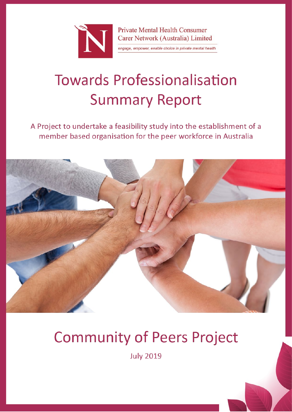

**Private Mental Health Consumer** Carer Network (Australia) Limited

engage, empower, enable choice in private mental health

# **Towards Professionalisation Summary Report**

A Project to undertake a feasibility study into the establishment of a member based organisation for the peer workforce in Australia



# **Community of Peers Project**

**July 2019**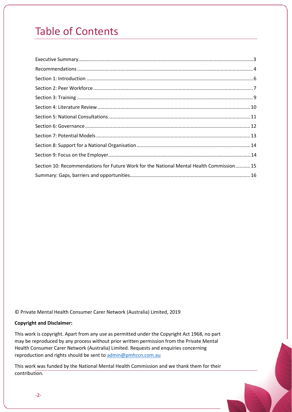## Table of Contents

| Section 10: Recommendations for Future Work for the National Mental Health Commission15 |  |
|-----------------------------------------------------------------------------------------|--|
|                                                                                         |  |

© Private Mental Health Consumer Carer Network (Australia) Limited, 2019

#### **Copyright and Disclaimer:**

This work is copyright. Apart from any use as permitted under the Copyright Act 1968, no part may be reproduced by any process without prior written permission from the Private Mental Health Consumer Carer Network (Australia) Limited. Requests and enquiries concerning reproduction and rights should be sent to [admin@pmhccn.com.au](mailto:admin@pmhccn.com.au)

This work was funded by the National Mental Health Commission and we thank them for their contribution.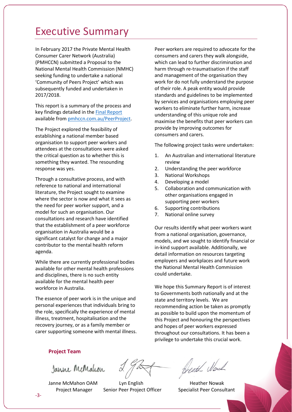### Executive Summary

In February 2017 the Private Mental Health Consumer Carer Network (Australia) (PMHCCN) submitted a Proposal to the National Mental Health Commission (NMHC) seeking funding to undertake a national 'Community of Peers Project' which was subsequently funded and undertaken in 2017/2018.

This report is a summary of the process and key findings detailed in the [Final Report](http://pmhccn.com.au/PeerProject.aspx) available from [pmhccn.com.au/PeerProject.](http://pmhccn.com.au/PeerProject)

The Project explored the feasibility of establishing a national member based organisation to support peer workers and attendees at the consultations were asked the critical question as to whether this is something they wanted. The resounding response was yes.

Through a consultative process, and with reference to national and international literature, the Project sought to examine where the sector is now and what it sees as the need for peer worker support, and a model for such an organisation. Our consultations and research have identified that the establishment of a peer workforce organisation in Australia would be a significant catalyst for change and a major contributor to the mental health reform agenda.

While there are currently professional bodies available for other mental health professions and disciplines, there is no such entity available for the mental health peer workforce in Australia.

The essence of peer work is in the unique and personal experiences that individuals bring to the role, specifically the experience of mental illness, treatment, hospitalisation and the recovery journey, or as a family member or carer supporting someone with mental illness.

Peer workers are required to advocate for the consumers and carers they walk alongside, which can lead to further discrimination and harm through re-traumatisation if the staff and management of the organisation they work for do not fully understand the purpose of their role. A peak entity would provide standards and guidelines to be implemented by services and organisations employing peer workers to eliminate further harm, increase understanding of this unique role and maximise the benefits that peer workers can provide by improving outcomes for consumers and carers.

The following project tasks were undertaken:

- 1. An Australian and international literature review
- 2. Understanding the peer workforce
- 3. National Workshops
- 4. Developing a model
- 5. Collaboration and communication with other organisations engaged in supporting peer workers
- 6. Supporting contributions
- 7. National online survey

Our results identify what peer workers want from a national organisation, governance, models, and we sought to identify financial or in-kind support available. Additionally, we detail information on resources targeting employers and workplaces and future work the National Mental Health Commission could undertake.

We hope this Summary Report is of interest to Governments both nationally and at the state and territory levels. We are recommending action be taken as promptly as possible to build upon the momentum of this Project and honouring the perspectives and hopes of peer workers expressed throughout our consultations. It has been a privilege to undertake this crucial work.

#### **Project Team**

Janne McMalcon

Janne McMahon OAM Lyn English Heather Nowak Project Manager Senior Peer Project Officer Specialist Peer Consultant

Beath Moul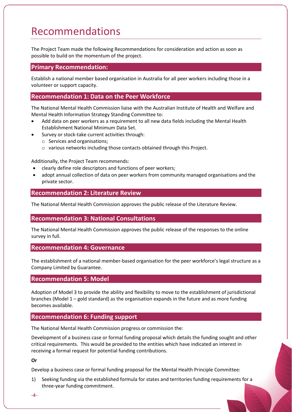### <span id="page-3-0"></span>Recommendations

The Project Team made the following Recommendations for consideration and action as soon as possible to build on the momentum of the project.

#### **Primary Recommendation:**

Establish a national member based organisation in Australia for all peer workers including those in a volunteer or support capacity.

#### **Recommendation 1: Data on the Peer Workforce**

The National Mental Health Commission liaise with the Australian Institute of Health and Welfare and Mental Health Information Strategy Standing Committee to:

- Add data on peer workers as a requirement to all new data fields including the Mental Health Establishment National Minimum Data Set.
- Survey or stock-take current activities through:
	- o Services and organisations;
	- o various networks including those contacts obtained through this Project.

Additionally, the Project Team recommends:

- clearly define role descriptors and functions of peer workers;
- adopt annual collection of data on peer workers from community managed organisations and the private sector.

#### **Recommendation 2: Literature Review**

The National Mental Health Commission approves the public release of the Literature Review.

#### **Recommendation 3: National Consultations**

The National Mental Health Commission approves the public release of the responses to the online survey in full.

#### **Recommendation 4: Governance**

The establishment of a national member-based organisation for the peer workforce's legal structure as a Company Limited by Guarantee.

#### **Recommendation 5: Model**

Adoption of Model 3 to provide the ability and flexibility to move to the establishment of jurisdictional branches (Model  $1$  – gold standard) as the organisation expands in the future and as more funding becomes available.

#### **Recommendation 6: Funding support**

The National Mental Health Commission progress or commission the:

Development of a business case or formal funding proposal which details the funding sought and other critical requirements. This would be provided to the entities which have indicated an interest in receiving a formal request for potential funding contributions.

#### **Or**

Develop a business case or formal funding proposal for the Mental Health Principle Committee:

1) Seeking funding via the established formula for states and territories funding requirements for a three-year funding commitment.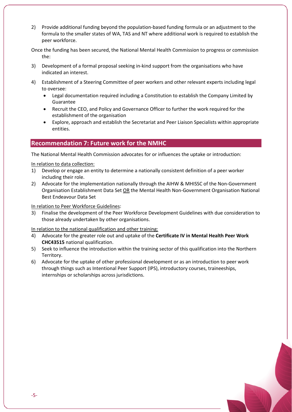2) Provide additional funding beyond the population-based funding formula or an adjustment to the formula to the smaller states of WA, TAS and NT where additional work is required to establish the peer workforce.

Once the funding has been secured, the National Mental Health Commission to progress or commission the:

- 3) Development of a formal proposal seeking in-kind support from the organisations who have indicated an interest.
- 4) Establishment of a Steering Committee of peer workers and other relevant experts including legal to oversee:
	- Legal documentation required including a Constitution to establish the Company Limited by Guarantee
	- Recruit the CEO, and Policy and Governance Officer to further the work required for the establishment of the organisation
	- Explore, approach and establish the Secretariat and Peer Liaison Specialists within appropriate entities.

#### **Recommendation 7: Future work for the NMHC**

The National Mental Health Commission advocates for or influences the uptake or introduction:

#### In relation to data collection:

- 1) Develop or engage an entity to determine a nationally consistent definition of a peer worker including their role.
- 2) Advocate for the implementation nationally through the AIHW & MHISSC of the Non-Government Organisation Establishment Data Set OR the Mental Health Non-Government Organisation National Best Endeavour Data Set

#### In relation to Peer Workforce Guidelines:

3) Finalise the development of the Peer Workforce Development Guidelines with due consideration to those already undertaken by other organisations.

#### In relation to the national qualification and other training:

- 4) Advocate for the greater role out and uptake of the **Certificate IV in Mental Health Peer Work CHC43515** national qualification.
- 5) Seek to influence the introduction within the training sector of this qualification into the Northern Territory.
- 6) Advocate for the uptake of other professional development or as an introduction to peer work through things such as Intentional Peer Support (IPS), introductory courses, traineeships, internships or scholarships across jurisdictions.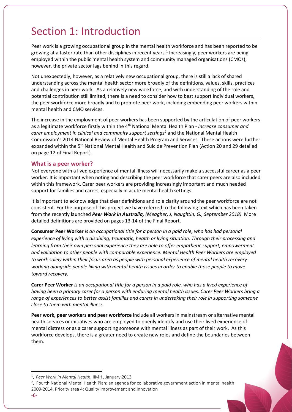### Section 1: Introduction

Peer work is a growing occupational group in the mental health workforce and has been reported to be growing at a faster rate than other disciplines in recent years.<sup>[1](#page-5-0)</sup> Increasingly, peer workers are being employed within the public mental health system and community managed organisations (CMOs); however, the private sector lags behind in this regard.

Not unexpectedly, however, as a relatively new occupational group, there is still a lack of shared understanding across the mental health sector more broadly of the definitions, values, skills, practices and challenges in peer work. As a relatively new workforce, and with understanding of the role and potential contribution still limited, there is a need to consider how to best support individual workers, the peer workforce more broadly and to promote peer work, including embedding peer workers within mental health and CMO services.

The increase in the employment of peer workers has been supported by the articulation of peer workers as a legitimate workforce firstly within the 4th National Mental Health Plan - *Increase consumer and carer employment in clinical and community support settings[2](#page-5-1)* and the National Mental Health Commission's 2014 National Review of Mental Health Program and Services. These actions were further expanded within the 5<sup>th</sup> National Mental Health and Suicide Prevention Plan (Action 20 and 29 detailed on page 12 of Final Report).

#### **What is a peer worker?**

Not everyone with a lived experience of mental illness will necessarily make a successful career as a peer worker. It is important when noting and describing the peer workforce that carer peers are also included within this framework. Carer peer workers are providing increasingly important and much needed support for families and carers, especially in acute mental health settings.

It is important to acknowledge that clear definitions and role clarity around the peer workforce are not consistent. For the purpose of this project we have referred to the following text which has been taken from the recently launched *Peer Work in Australia, (Meagher, J, Naughtin, G., September 2018).* More detailed definitions are provided on pages 13-14 of the Final Report.

**Consumer Peer Worker** *is an occupational title for a person in a paid role, who has had personal experience of living with a disabling, traumatic, health or living situation. Through their processing and learning from their own personal experience they are able to offer empathetic support, empowerment and validation to other people with comparable experience. Mental Health Peer Workers are employed to work solely within their focus area as people with personal experience of mental health recovery working alongside people living with mental health issues in order to enable those people to move toward recovery.*

**Carer Peer Worker** *is an occupational title for a person in a paid role, who has a lived experience of having been a primary carer for a person with enduring mental health issues. Carer Peer Workers bring a range of experiences to better assist families and carers in undertaking their role in supporting someone close to them with mental illness.*

**Peer work, peer workers and peer workforce** include all workers in mainstream or alternative mental health services or initiatives who are employed to openly identify and use their lived experience of mental distress or as a carer supporting someone with mental illness as part of their work. As this workforce develops, there is a greater need to create new roles and define the boundaries between them.

 $\overline{\phantom{a}}$ 

<span id="page-5-0"></span><sup>1</sup> , *Peer Work in Mental Health*, IIMHL January 2013

<span id="page-5-1"></span><sup>2</sup> , Fourth National Mental Health Plan: an agenda for collaborative government action in mental health 2009-2014, Priority area 4: Quality improvement and innovation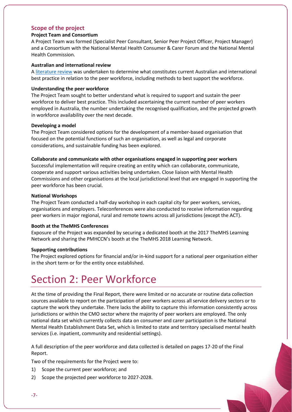#### **Scope of the project**

#### **Project Team and Consortium**

A Project Team was formed (Specialist Peer Consultant, Senior Peer Project Officer, Project Manager) and a Consortium with the National Mental Health Consumer & Carer Forum and the National Mental Health Commission.

#### **Australian and international review**

[A literature review](http://pmhccn.com.au/Portals/2/PublicDocuments/CoPP/Literature%20review%20-%20Towards%20Professionalisation.pdf) was undertaken to determine what constitutes current Australian and international best practice in relation to the peer workforce, including methods to best support the workforce.

#### **Understanding the peer workforce**

The Project Team sought to better understand what is required to support and sustain the peer workforce to deliver best practice. This included ascertaining the current number of peer workers employed in Australia, the number undertaking the recognised qualification, and the projected growth in workforce availability over the next decade.

#### **Developing a model**

The Project Team considered options for the development of a member-based organisation that focused on the potential functions of such an organisation, as well as legal and corporate considerations, and sustainable funding has been explored.

#### **Collaborate and communicate with other organisations engaged in supporting peer workers**

Successful implementation will require creating an entity which can collaborate, communicate, cooperate and support various activities being undertaken. Close liaison with Mental Health Commissions and other organisations at the local jurisdictional level that are engaged in supporting the peer workforce has been crucial.

#### **National Workshops**

The Project Team conducted a half-day workshop in each capital city for peer workers, services, organisations and employers. Teleconferences were also conducted to receive information regarding peer workers in major regional, rural and remote towns across all jurisdictions (except the ACT).

#### **Booth at the TheMHS Conferences**

Exposure of the Project was expanded by securing a dedicated booth at the 2017 TheMHS Learning Network and sharing the PMHCCN's booth at the TheMHS 2018 Learning Network.

#### **Supporting contributions**

The Project explored options for financial and/or in-kind support for a national peer organisation either in the short term or for the entity once established.

### Section 2: Peer Workforce

<span id="page-6-0"></span>At the time of providing the Final Report, there were limited or no accurate or routine data collection sources available to report on the participation of peer workers across all service delivery sectors or to capture the work they undertake. There lacks the ability to capture this information consistently across jurisdictions or within the CMO sector where the majority of peer workers are employed. The only national data set which currently collects data on consumer and carer participation is the National Mental Health Establishment Data Set, which is limited to state and territory specialised mental health services (i.e. inpatient, community and residential settings).

A full description of the peer workforce and data collected is detailed on pages 17-20 of the Final Report.

Two of the requirements for the Project were to:

- 1) Scope the current peer workforce; and
- 2) Scope the projected peer workforce to 2027-2028.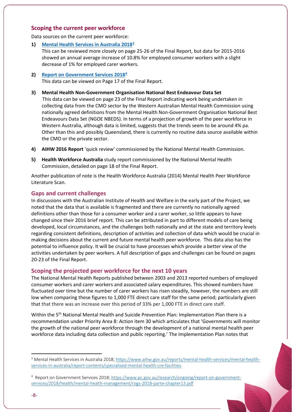#### **Scoping the current peer workforce**

Data sources on the current peer workforce:

**1) [Mental Health Services in Australia 2018](https://www.aihw.gov.au/reports/mental-health-services/mental-health-services-in-australia/report-contents/specialised-mental-health-cre-facilities)[3](#page-7-0)**

This can be reviewed more closely on page 25-26 of the Final Report, but data for 2015-2016 showed an annual average increase of 10.8% for employed consumer workers with a slight decrease of 1% for employed carer workers.

- **2) [Report on Government Services 2018](https://www.pc.gov.au/research/ongoing/report-on-government-services/2018/health/mental-health-management/rogs-2018-parte-chapter13.pdf)[4](#page-7-1)**  This data can be viewed on Page 17 of the Final Report.
- **3) Mental Health Non-Government Organisation National Best Endeavour Data Set** This data can be viewed on page 23 of the Final Report indicating work being undertaken in collecting data from the CMO sector by the Western Australian Mental Health Commission using nationally agreed definitions from the Mental Health Non-Government Organisation National Best Endeavours Data Set (NGOE NBEDS). In terms of a projection of growth of the peer workforce in Western Australia, although data is limited, suggests that the trends seem to be around 4% pa. Other than this and possibly Queensland, there is currently no routine data source available within the CMO or the private sector.
- **4) AIHW 2016 Report** 'quick review' commissioned by the National Mental Health Commission.
- **5) Health Workforce Australia** study report commissioned by the National Mental Health Commission, detailed on page 18 of the Final Report.

Another publication of note is the Health Workforce Australia (2014) Mental Health Peer Workforce Literature Scan.

#### **Gaps and current challenges**

In discussions with the Australian Institute of Health and Welfare in the early part of the Project, we noted that the data that is available is fragmented and there are currently no nationally agreed definitions other than those for a consumer worker and a carer worker, so little appears to have changed since their 2016 brief report. This can be attributed in part to different models of care being developed, local circumstances, and the challenges both nationally and at the state and territory levels regarding consistent definitions, description of activities and collection of data which would be crucial in making decisions about the current and future mental health peer workforce. This data also has the potential to influence policy. It will be crucial to have processes which provide a better view of the activities undertaken by peer workers. A full description of gaps and challenges can be found on pages 20-23 of the Final Report.

#### **Scoping the projected peer workforce for the next 10 years**

The National Mental Health Reports published between 2003 and 2013 reported numbers of employed consumer workers and carer workers and associated salary expenditures. This showed numbers have fluctuated over time but the number of carer workers has risen steadily, however, the numbers are still low when comparing these figures to 1,000 FTE direct care staff for the same period; particularly given that that there was an increase over this period of 33% per 1,000 FTE in direct care staff.

Within the 5<sup>th</sup> National Mental Health and Suicide Prevention Plan: Implementation Plan there is a recommendation under Priority Area 8: Action item 30 which articulates that 'Governments will monitor the growth of the national peer workforce through the development of a national mental health peer workforce data including data collection and public reporting.' The Implementation Plan notes that

l

<span id="page-7-0"></span><sup>3</sup> Mental Health Services in Australia 2018; [https://www.aihw.gov.au/reports/mental-health-services/mental-health](https://www.aihw.gov.au/reports/mental-health-services/mental-health-services-in-australia/report-contents/specialised-mental-health-cre-facilities)[services-in-australia/report-contents/specialised-mental-health-cre-facilities](https://www.aihw.gov.au/reports/mental-health-services/mental-health-services-in-australia/report-contents/specialised-mental-health-cre-facilities)

<span id="page-7-1"></span><sup>&</sup>lt;sup>4</sup> Report on Government Services 2018; [https://www.pc.gov.au/research/ongoing/report-on-government](https://www.pc.gov.au/research/ongoing/report-on-government-services/2018/health/mental-health-management/rogs-2018-parte-chapter13.pdf)[services/2018/health/mental-health-management/rogs-2018-parte-chapter13.pdf](https://www.pc.gov.au/research/ongoing/report-on-government-services/2018/health/mental-health-management/rogs-2018-parte-chapter13.pdf)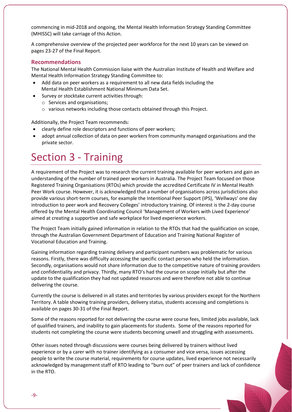commencing in mid-2018 and ongoing, the Mental Health Information Strategy Standing Committee (MHISSC) will take carriage of this Action.

A comprehensive overview of the projected peer workforce for the next 10 years can be viewed on pages 23-27 of the Final Report.

#### **Recommendations**

The National Mental Health Commission liaise with the Australian Institute of Health and Welfare and Mental Health Information Strategy Standing Committee to:

- Add data on peer workers as a requirement to all new data fields including the Mental Health Establishment National Minimum Data Set.
- Survey or stocktake current activities through:
	- o Services and organisations;
	- o various networks including those contacts obtained through this Project.

Additionally, the Project Team recommends:

- clearly define role descriptors and functions of peer workers;
- adopt annual collection of data on peer workers from community managed organisations and the private sector.

### Section 3 - Training

A requirement of the Project was to research the current training available for peer workers and gain an understanding of the number of trained peer workers in Australia. The Project Team focused on those Registered Training Organisations (RTOs) which provide the accredited Certificate IV in Mental Health Peer Work course. However, it is acknowledged that a number of organisations across jurisdictions also provide various short-term courses, for example the Intentional Peer Support (IPS), 'Wellways' one day introduction to peer work and Recovery Colleges' introductory training. Of interest is the 2-day course offered by the Mental Health Coordinating Council 'Management of Workers with Lived Experience' aimed at creating a supportive and safe workplace for lived experience workers.

The Project Team initially gained information in relation to the RTOs that had the qualification on scope, through the Australian Government Department of Education and Training National Register of Vocational Education and Training.

Gaining information regarding training delivery and participant numbers was problematic for various reasons. Firstly, there was difficulty accessing the specific contact person who held the information. Secondly, organisations would not share information due to the competitive nature of training providers and confidentiality and privacy. Thirdly, many RTO's had the course on scope initially but after the update to the qualification they had not updated resources and were therefore not able to continue delivering the course.

Currently the course is delivered in all states and territories by various providers except for the Northern Territory. A table showing training providers, delivery status, students accessing and completions is available on pages 30-31 of the Final Report.

Some of the reasons reported for not delivering the course were course fees, limited jobs available, lack of qualified trainers, and inability to gain placements for students. Some of the reasons reported for students not completing the course were students becoming unwell and struggling with assessments.

Other issues noted through discussions were courses being delivered by trainers without lived experience or by a carer with no trainer identifying as a consumer and vice versa, issues accessing people to write the course material, requirements for course updates, lived experience not necessarily acknowledged by management staff of RTO leading to "burn out" of peer trainers and lack of confidence in the RTO.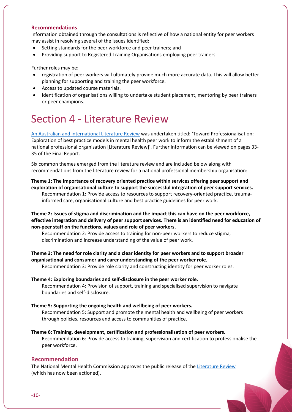#### **Recommendations**

Information obtained through the consultations is reflective of how a national entity for peer workers may assist in resolving several of the issues identified:

- Setting standards for the peer workforce and peer trainers; and
- Providing support to Registered Training Organisations employing peer trainers.

Further roles may be:

- registration of peer workers will ultimately provide much more accurate data. This will allow better planning for supporting and training the peer workforce.
- Access to updated course materials.
- Identification of organisations willing to undertake student placement, mentoring by peer trainers or peer champions.

### Section 4 - Literature Review

[An Australian and international Literature Review](http://pmhccn.com.au/Portals/2/PublicDocuments/CoPP/Literature%20review%20-%20Towards%20Professionalisation.pdf) was undertaken titled: 'Toward Professionalisation: Exploration of best practice models in mental health peer work to inform the establishment of a national professional organisation [Literature Review]'. Further information can be viewed on pages 33- 35 of the Final Report.

Six common themes emerged from the literature review and are included below along with recommendations from the literature review for a national professional membership organisation:

#### **Theme 1: The importance of recovery oriented practice within services offering peer support and exploration of organisational culture to support the successful integration of peer support services.**

Recommendation 1: Provide access to resources to support recovery-oriented practice, traumainformed care, organisational culture and best practice guidelines for peer work.

**Theme 2: Issues of stigma and discrimination and the impact this can have on the peer workforce, effective integration and delivery of peer support services. There is an identified need for education of non-peer staff on the functions, values and role of peer workers.** 

Recommendation 2: Provide access to training for non-peer workers to reduce stigma, discrimination and increase understanding of the value of peer work.

#### **Theme 3: The need for role clarity and a clear identity for peer workers and to support broader organisational and consumer and carer understanding of the peer worker role.**

Recommendation 3: Provide role clarity and constructing identity for peer worker roles.

#### **Theme 4: Exploring boundaries and self-disclosure in the peer worker role.**

Recommendation 4: Provision of support, training and specialised supervision to navigate boundaries and self-disclosure.

#### **Theme 5: Supporting the ongoing health and wellbeing of peer workers.**

Recommendation 5: Support and promote the mental health and wellbeing of peer workers through policies, resources and access to communities of practice.

#### **Theme 6: Training, development, certification and professionalisation of peer workers.** Recommendation 6: Provide access to training, supervision and certification to professionalise the peer workforce.

#### **Recommendation**

The National Mental Health Commission approves the public release of th[e Literature Review](http://pmhccn.com.au/PeerProject.aspx) (which has now been actioned).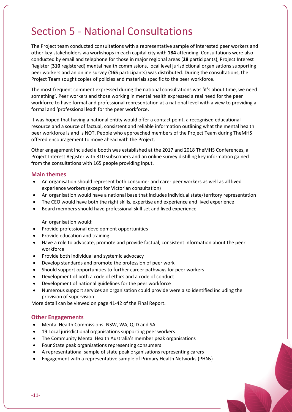## Section 5 - National Consultations

The Project team conducted consultations with a representative sample of interested peer workers and other key stakeholders via workshops in each capital city with **184** attending. Consultations were also conducted by email and telephone for those in major regional areas (**28** participants), Project Interest Register (**310** registered) mental health commissions, local level jurisdictional organisations supporting peer workers and an online survey (**165** participants) was distributed. During the consultations, the Project Team sought copies of policies and materials specific to the peer workforce.

The most frequent comment expressed during the national consultations was 'it's about time, we need something'. Peer workers and those working in mental health expressed a real need for the peer workforce to have formal and professional representation at a national level with a view to providing a formal and 'professional lead' for the peer workforce.

It was hoped that having a national entity would offer a contact point, a recognised educational resource and a source of factual, consistent and reliable information outlining what the mental health peer workforce is and is NOT. People who approached members of the Project Team during TheMHS offered encouragement to move ahead with the Project.

Other engagement included a booth was established at the 2017 and 2018 TheMHS Conferences, a Project Interest Register with 310 subscribers and an online survey distilling key information gained from the consultations with 165 people providing input.

#### **Main themes**

- An organisation should represent both consumer and carer peer workers as well as all lived experience workers (except for Victorian consultation)
- An organisation would have a national base that includes individual state/territory representation
- The CEO would have both the right skills, expertise and experience and lived experience
- Board members should have professional skill set and lived experience

An organisation would:

- Provide professional development opportunities
- Provide education and training
- Have a role to advocate, promote and provide factual, consistent information about the peer workforce
- Provide both individual and systemic advocacy
- Develop standards and promote the profession of peer work
- Should support opportunities to further career pathways for peer workers
- Development of both a code of ethics and a code of conduct
- Development of national guidelines for the peer workforce
- Numerous support services an organisation could provide were also identified including the provision of supervision

More detail can be viewed on page 41-42 of the Final Report.

#### **Other Engagements**

- Mental Health Commissions: NSW, WA, QLD and SA
- 19 Local jurisdictional organisations supporting peer workers
- The Community Mental Health Australia's member peak organisations
- Four State peak organisations representing consumers
- A representational sample of state peak organisations representing carers
- Engagement with a representative sample of Primary Health Networks (PHNs)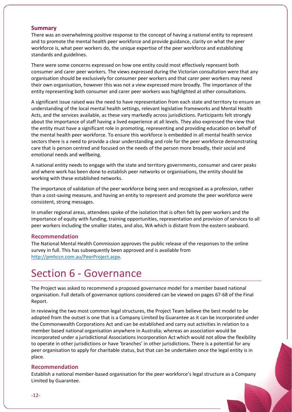#### **Summary**

There was an overwhelming positive response to the concept of having a national entity to represent and to promote the mental health peer workforce and provide guidance, clarity on what the peer workforce is, what peer workers do, the unique expertise of the peer workforce and establishing standards and guidelines.

There were some concerns expressed on how one entity could most effectively represent both consumer and carer peer workers. The views expressed during the Victorian consultation were that any organisation should be exclusively for consumer peer workers and that carer peer workers may need their own organisation, however this was not a view expressed more broadly. The importance of the entity representing both consumer and carer peer workers was highlighted at other consultations.

A significant issue raised was the need to have representation from each state and territory to ensure an understanding of the local mental health settings, relevant legislative frameworks and Mental Health Acts, and the services available, as these vary markedly across jurisdictions. Participants felt strongly about the importance of staff having a lived experience at all levels. They also expressed the view that the entity must have a significant role in promoting, representing and providing education on behalf of the mental health peer workforce. To ensure this workforce is embedded in all mental health service sectors there is a need to provide a clear understanding and role for the peer workforce demonstrating care that is person centred and focused on the needs of the person more broadly, their social and emotional needs and wellbeing.

A national entity needs to engage with the state and territory governments, consumer and carer peaks and where work has been done to establish peer networks or organisations, the entity should be working with these established networks.

The importance of validation of the peer workforce being seen and recognised as a profession, rather than a cost-saving measure, and having an entity to represent and promote the peer workforce were consistent, strong messages.

In smaller regional areas, attendees spoke of the isolation that is often felt by peer workers and the importance of equity with funding, training opportunities, representation and provision of services to all peer workers including the smaller states, and also, WA which is distant from the eastern seaboard.

#### **Recommendation**

The National Mental Health Commission approves the public release of the responses to the online survey in full. This has subsequently been approved and is available from [http://pmhccn.com.au/PeerProject.aspx.](http://pmhccn.com.au/PeerProject.aspx)

## Section 6 - Governance

The Project was asked to recommend a proposed governance model for a member based national organisation. Full details of governance options considered can be viewed on pages 67-68 of the Final Report.

In reviewing the two most common legal structures, the Project Team believe the best model to be adopted from the outset is one that is a Company Limited by Guarantee as it can be incorporated under the Commonwealth Corporations Act and can be established and carry out activities in relation to a member based national organisation anywhere in Australia; whereas an association would be incorporated under a jurisdictional Associations Incorporation Act which would not allow the flexibility to operate in other jurisdictions or have 'branches' in other jurisdictions. There is a potential for any peer organisation to apply for charitable status, but that can be undertaken once the legal entity is in place.

#### **Recommendation**

Establish a national member-based organisation for the peer workforce's legal structure as a Company Limited by Guarantee.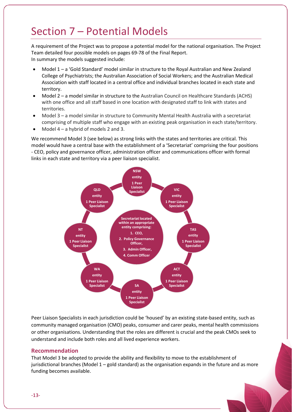### Section 7 – Potential Models

A requirement of the Project was to propose a potential model for the national organisation. The Project Team detailed four possible models on pages 69-78 of the Final Report. In summary the models suggested include:

- Model 1 a 'Gold Standard' model similar in structure to the Royal Australian and New Zealand College of Psychiatrists; the Australian Association of Social Workers; and the Australian Medical Association with staff located in a central office and individual branches located in each state and territory.
- Model 2 a model similar in structure to the Australian Council on Healthcare Standards (ACHS) with one office and all staff based in one location with designated staff to link with states and territories.
- Model 3 a model similar in structure to Community Mental Health Australia with a secretariat comprising of multiple staff who engage with an existing peak organisation in each state/territory.
- Model 4 a hybrid of models 2 and 3.

We recommend Model 3 (see below) as strong links with the states and territories are critical. This model would have a central base with the establishment of a 'Secretariat' comprising the four positions - CEO, policy and governance officer, administration officer and communications officer with formal links in each state and territory via a peer liaison specialist.



Peer Liaison Specialists in each jurisdiction could be 'housed' by an existing state-based entity, such as community managed organisation (CMO) peaks, consumer and carer peaks, mental health commissions or other organisations. Understanding that the roles are different is crucial and the peak CMOs seek to understand and include both roles and all lived experience workers.

#### **Recommendation**

That Model 3 be adopted to provide the ability and flexibility to move to the establishment of jurisdictional branches (Model 1 – gold standard) as the organisation expands in the future and as more funding becomes available.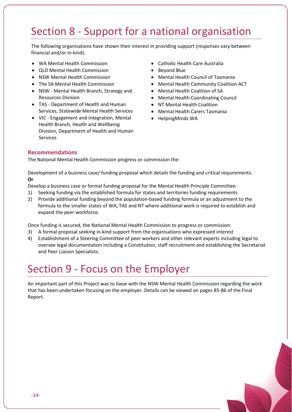## Section 8 - Support for a national organisation

The following organisations have shown their interest in providing support (responses vary between financial and/or in-kind).

- WA Mental Health Commission
- QLD Mental Health Commission
- NSW Mental Health Commission
- The SA Mental Health Commission
- NSW Mental Health Branch, Strategy and Resources Division
- TAS Department of Health and Human Services, Statewide Mental Health Services
- VIC Engagement and Integration, Mental Health Branch, Health and Wellbeing Division, Department of Health and Human Services
- Catholic Health Care Australia
- Beyond Blue
- Mental Health Council of Tasmania
- Mental Health Community Coalition ACT
- Mental Health Coalition of SA
- Mental Health Coordinating Council
- NT Mental Health Coalition
- Mental Health Carers Tasmania
- HelpingMinds WA

#### **Recommendations**

The National Mental Health Commission progress or commission the:

Development of a business case/ funding proposal which details the funding and critical requirements. **Or**

- Develop a business case or formal funding proposal for the Mental Health Principle Committee:
- 1) Seeking funding via the established formula for states and territories funding requirements
- 2) Provide additional funding beyond the population-based funding formula or an adjustment to the formula to the smaller states of WA, TAS and NT where additional work is required to establish and expand the peer workforce.

Once funding is secured, the National Mental Health Commission to progress or commission:

- 3) A formal proposal seeking in-kind support from the organisations who expressed interest
- 4) Establishment of a Steering Committee of peer workers and other relevant experts including legal to oversee legal documentation including a Constitution, staff recruitment and establishing the Secretariat and Peer Liaison Specialists.

### Section 9 - Focus on the Employer

An important part of this Project was to liaise with the NSW Mental Health Commission regarding the work that has been undertaken focusing on the employer. Details can be viewed on pages 85-86 of the Final Report.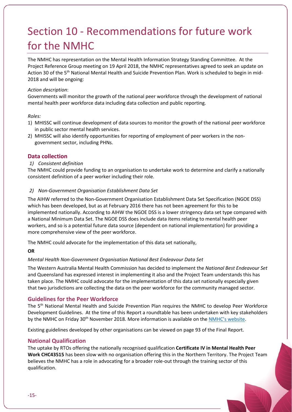# Section 10 - Recommendations for future work for the NMHC

The NMHC has representation on the Mental Health Information Strategy Standing Committee. At the Project Reference Group meeting on 19 April 2018, the NMHC representatives agreed to seek an update on Action 30 of the 5th National Mental Health and Suicide Prevention Plan. Work is scheduled to begin in mid-2018 and will be ongoing:

#### *Action description*:

Governments will monitor the growth of the national peer workforce through the development of national mental health peer workforce data including data collection and public reporting.

#### *Roles:*

- 1) MHISSC will continue development of data sources to monitor the growth of the national peer workforce in public sector mental health services.
- 2) MHISSC will also identify opportunities for reporting of employment of peer workers in the nongovernment sector, including PHNs.

#### **Data collection**

#### *1) Consistent definition*

The NMHC could provide funding to an organisation to undertake work to determine and clarify a nationally consistent definition of a peer worker including their role.

#### *2) Non-Government Organisation Establishment Data Set*

The AIHW referred to the Non-Government Organisation Establishment Data Set Specification (NGOE DSS) which has been developed, but as at February 2016 there has not been agreement for this to be implemented nationally. According to AIHW the NGOE DSS is a lower stringency data set type compared with a National Minimum Data Set. The NGOE DSS does include data items relating to mental health peer workers, and so is a potential future data source (dependent on national implementation) for providing a more comprehensive view of the peer workforce.

The NMHC could advocate for the implementation of this data set nationally,

#### **OR**

#### *Mental Health Non-Government Organisation National Best Endeavour Data Set*

The Western Australia Mental Health Commission has decided to implement the *National Best Endeavour Set*  and Queensland has expressed interest in implementing it also and the Project Team understands this has taken place. The NMHC could advocate for the implementation of this data set nationally especially given that two jurisdictions are collecting the data on the peer workforce for the community managed sector.

#### **Guidelines for the Peer Workforce**

The 5<sup>th</sup> National Mental Health and Suicide Prevention Plan requires the NMHC to develop Peer Workforce Development Guidelines. At the time of this Report a roundtable has been undertaken with key stakeholders by the NMHC on Friday 30<sup>th</sup> November 2018. More information is available on th[e NMHC's website.](https://www.mentalhealthcommission.gov.au/our-work/mental-health-peer-work-development-and-promotion.aspx)

Existing guidelines developed by other organisations can be viewed on page 93 of the Final Report.

#### **National Qualification**

The uptake by RTOs offering the nationally recognised qualification **Certificate IV in Mental Health Peer Work CHC43515** has been slow with no organisation offering this in the Northern Territory. The Project Team believes the NMHC has a role in advocating for a broader role-out through the training sector of this qualification.